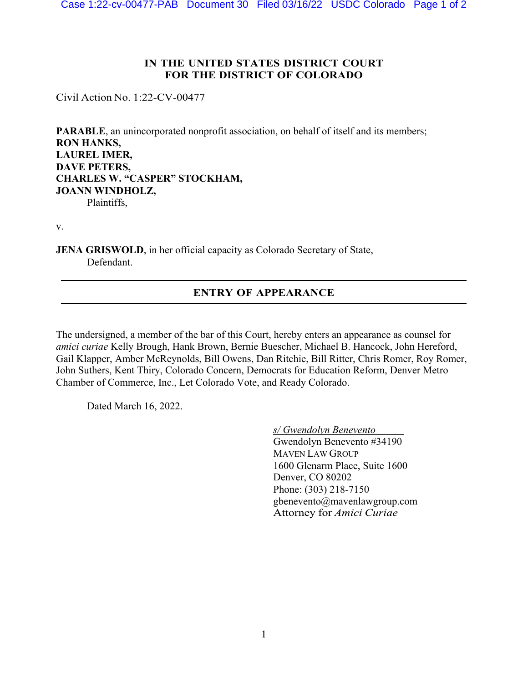## **IN THE UNITED STATES DISTRICT COURT FOR THE DISTRICT OF COLORADO**

Civil Action No. 1:22-CV-00477

**PARABLE**, an unincorporated nonprofit association, on behalf of itself and its members; **RON HANKS, LAUREL IMER, DAVE PETERS, CHARLES W. "CASPER" STOCKHAM, JOANN WINDHOLZ,** Plaintiffs,

v.

**JENA GRISWOLD**, in her official capacity as Colorado Secretary of State, Defendant.

## **ENTRY OF APPEARANCE**

The undersigned, a member of the bar of this Court, hereby enters an appearance as counsel for *amici curiae* Kelly Brough, Hank Brown, Bernie Buescher, Michael B. Hancock, John Hereford, Gail Klapper, Amber McReynolds, Bill Owens, Dan Ritchie, Bill Ritter, Chris Romer, Roy Romer, John Suthers, Kent Thiry, Colorado Concern, Democrats for Education Reform, Denver Metro Chamber of Commerce, Inc., Let Colorado Vote, and Ready Colorado.

Dated March 16, 2022.

*s/ Gwendolyn Benevento* 

Gwendolyn Benevento #34190 MAVEN LAW GROUP 1600 Glenarm Place, Suite 1600 Denver, CO 80202 Phone: (303) 218-7150 gbenevento@mavenlawgroup.com Attorney for *Amici Curiae*